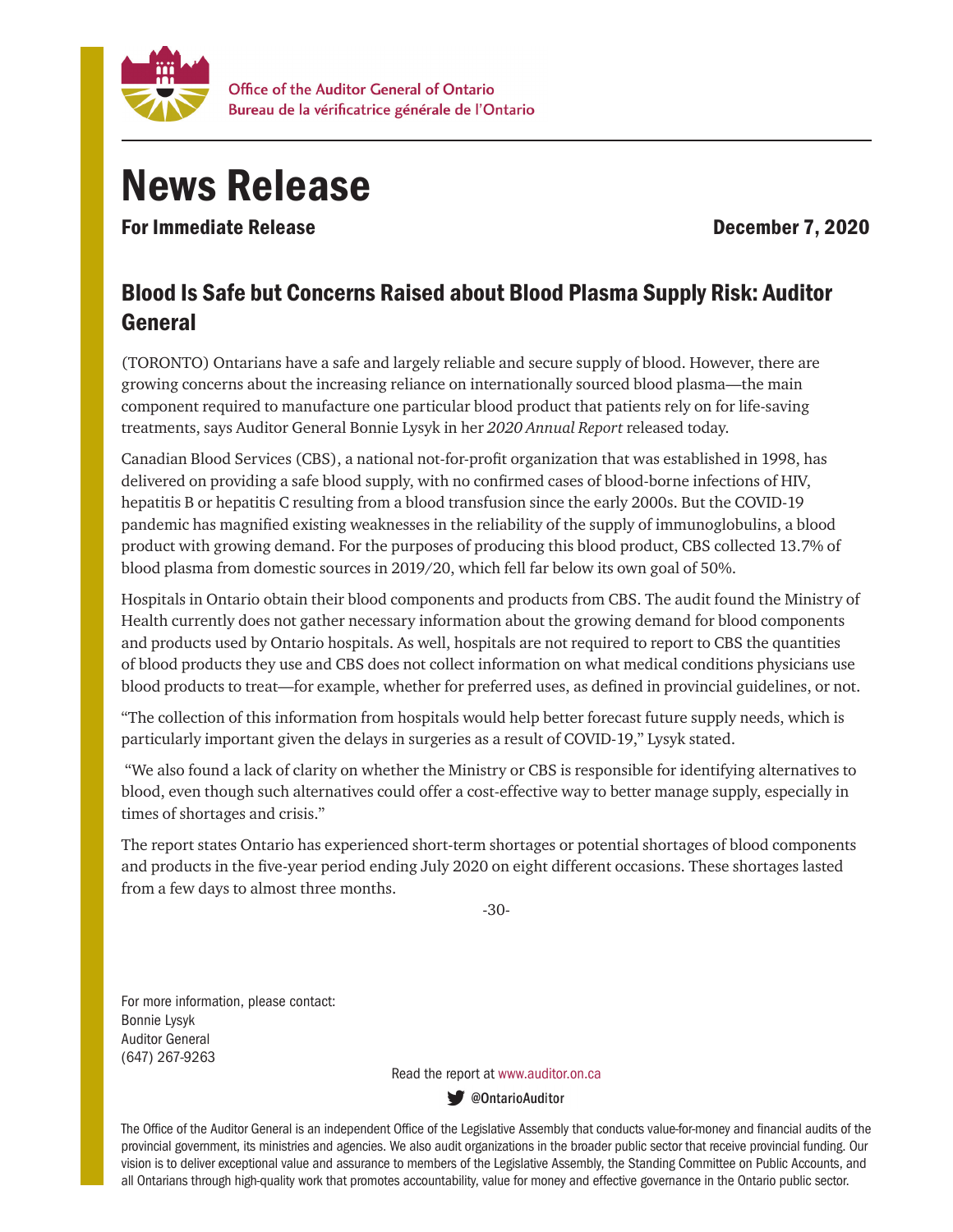

## News Release

For Immediate Release **December 7, 2020** 

## Blood Is Safe but Concerns Raised about Blood Plasma Supply Risk: Auditor General

(TORONTO) Ontarians have a safe and largely reliable and secure supply of blood. However, there are growing concerns about the increasing reliance on internationally sourced blood plasma—the main component required to manufacture one particular blood product that patients rely on for life-saving treatments, says Auditor General Bonnie Lysyk in her *2020 Annual Report* released today.

Canadian Blood Services (CBS), a national not-for-profit organization that was established in 1998, has delivered on providing a safe blood supply, with no confirmed cases of blood-borne infections of HIV, hepatitis B or hepatitis C resulting from a blood transfusion since the early 2000s. But the COVID-19 pandemic has magnified existing weaknesses in the reliability of the supply of immunoglobulins, a blood product with growing demand. For the purposes of producing this blood product, CBS collected 13.7% of blood plasma from domestic sources in 2019/20, which fell far below its own goal of 50%.

Hospitals in Ontario obtain their blood components and products from CBS. The audit found the Ministry of Health currently does not gather necessary information about the growing demand for blood components and products used by Ontario hospitals. As well, hospitals are not required to report to CBS the quantities of blood products they use and CBS does not collect information on what medical conditions physicians use blood products to treat—for example, whether for preferred uses, as defined in provincial guidelines, or not.

"The collection of this information from hospitals would help better forecast future supply needs, which is particularly important given the delays in surgeries as a result of COVID-19," Lysyk stated.

 "We also found a lack of clarity on whether the Ministry or CBS is responsible for identifying alternatives to blood, even though such alternatives could offer a cost-effective way to better manage supply, especially in times of shortages and crisis."

The report states Ontario has experienced short-term shortages or potential shortages of blood components and products in the five-year period ending July 2020 on eight different occasions. These shortages lasted from a few days to almost three months.

-30-

For more information, please contact: Bonnie Lysyk Auditor General (647) 267-9263

Read the report at www.auditor.on.ca

ContarioAuditor

The Office of the Auditor General is an independent Office of the Legislative Assembly that conducts value-for-money and financial audits of the provincial government, its ministries and agencies. We also audit organizations in the broader public sector that receive provincial funding. Our vision is to deliver exceptional value and assurance to members of the Legislative Assembly, the Standing Committee on Public Accounts, and all Ontarians through high-quality work that promotes accountability, value for money and effective governance in the Ontario public sector.